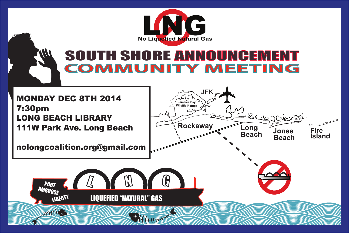